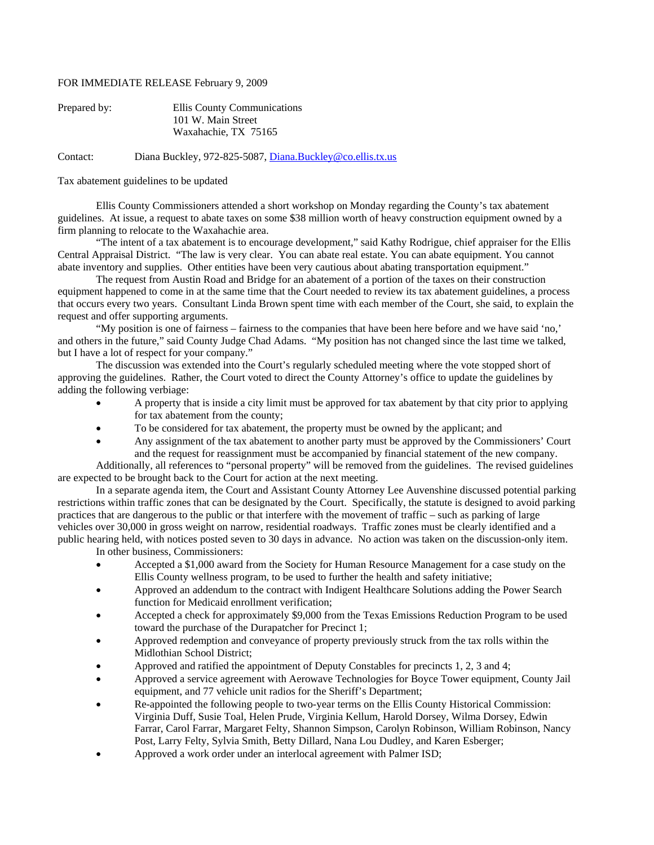## FOR IMMEDIATE RELEASE February 9, 2009

| Prepared by: | Ellis County Communications |
|--------------|-----------------------------|
|              | 101 W. Main Street          |
|              | Waxahachie, TX 75165        |

Contact: Diana Buckley, 972-825-5087, [Diana.Buckley@co.ellis.tx.us](mailto:Diana.Buckley@co.ellis.tx.us)

## Tax abatement guidelines to be updated

 Ellis County Commissioners attended a short workshop on Monday regarding the County's tax abatement guidelines. At issue, a request to abate taxes on some \$38 million worth of heavy construction equipment owned by a firm planning to relocate to the Waxahachie area.

 "The intent of a tax abatement is to encourage development," said Kathy Rodrigue, chief appraiser for the Ellis Central Appraisal District. "The law is very clear. You can abate real estate. You can abate equipment. You cannot abate inventory and supplies. Other entities have been very cautious about abating transportation equipment."

 The request from Austin Road and Bridge for an abatement of a portion of the taxes on their construction equipment happened to come in at the same time that the Court needed to review its tax abatement guidelines, a process that occurs every two years. Consultant Linda Brown spent time with each member of the Court, she said, to explain the request and offer supporting arguments.

 "My position is one of fairness – fairness to the companies that have been here before and we have said 'no,' and others in the future," said County Judge Chad Adams. "My position has not changed since the last time we talked, but I have a lot of respect for your company."

 The discussion was extended into the Court's regularly scheduled meeting where the vote stopped short of approving the guidelines. Rather, the Court voted to direct the County Attorney's office to update the guidelines by adding the following verbiage:

- A property that is inside a city limit must be approved for tax abatement by that city prior to applying for tax abatement from the county;
- To be considered for tax abatement, the property must be owned by the applicant; and
- Any assignment of the tax abatement to another party must be approved by the Commissioners' Court and the request for reassignment must be accompanied by financial statement of the new company.

Additionally, all references to "personal property" will be removed from the guidelines. The revised guidelines are expected to be brought back to the Court for action at the next meeting.

 In a separate agenda item, the Court and Assistant County Attorney Lee Auvenshine discussed potential parking restrictions within traffic zones that can be designated by the Court. Specifically, the statute is designed to avoid parking practices that are dangerous to the public or that interfere with the movement of traffic – such as parking of large vehicles over 30,000 in gross weight on narrow, residential roadways. Traffic zones must be clearly identified and a public hearing held, with notices posted seven to 30 days in advance. No action was taken on the discussion-only item.

In other business, Commissioners:

- Accepted a \$1,000 award from the Society for Human Resource Management for a case study on the Ellis County wellness program, to be used to further the health and safety initiative;
- Approved an addendum to the contract with Indigent Healthcare Solutions adding the Power Search function for Medicaid enrollment verification;
- Accepted a check for approximately \$9,000 from the Texas Emissions Reduction Program to be used toward the purchase of the Durapatcher for Precinct 1;
- Approved redemption and conveyance of property previously struck from the tax rolls within the Midlothian School District;
- Approved and ratified the appointment of Deputy Constables for precincts 1, 2, 3 and 4;
- Approved a service agreement with Aerowave Technologies for Boyce Tower equipment, County Jail equipment, and 77 vehicle unit radios for the Sheriff's Department;
- Re-appointed the following people to two-year terms on the Ellis County Historical Commission: Virginia Duff, Susie Toal, Helen Prude, Virginia Kellum, Harold Dorsey, Wilma Dorsey, Edwin Farrar, Carol Farrar, Margaret Felty, Shannon Simpson, Carolyn Robinson, William Robinson, Nancy Post, Larry Felty, Sylvia Smith, Betty Dillard, Nana Lou Dudley, and Karen Esberger;
- Approved a work order under an interlocal agreement with Palmer ISD;